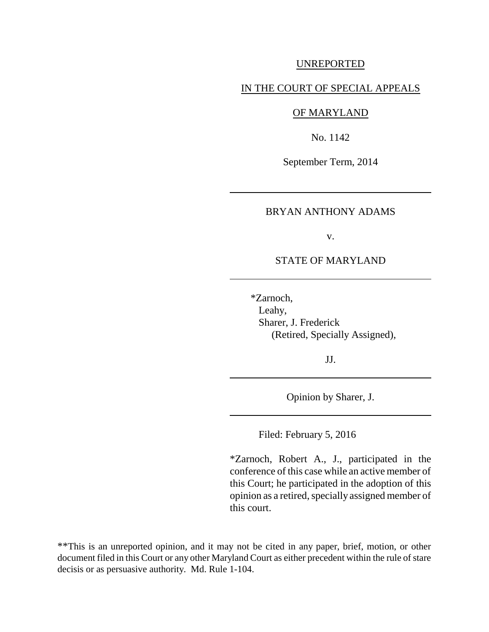#### UNREPORTED

### IN THE COURT OF SPECIAL APPEALS

#### OF MARYLAND

No. 1142

September Term, 2014

#### BRYAN ANTHONY ADAMS

v.

### STATE OF MARYLAND

 \*Zarnoch, Leahy, Sharer, J. Frederick (Retired, Specially Assigned),

JJ.

Opinion by Sharer, J.

Filed: February 5, 2016

\*Zarnoch, Robert A., J., participated in the conference of this case while an active member of this Court; he participated in the adoption of this opinion as a retired, specially assigned member of this court.

\*\*This is an unreported opinion, and it may not be cited in any paper, brief, motion, or other document filed in this Court or any other Maryland Court as either precedent within the rule of stare decisis or as persuasive authority. Md. Rule 1-104.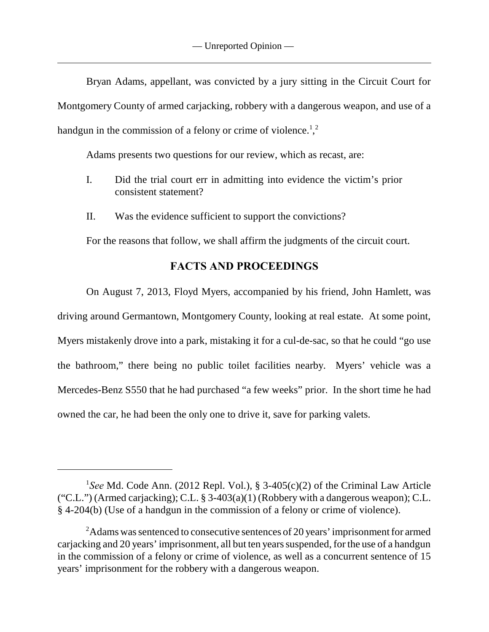Bryan Adams, appellant, was convicted by a jury sitting in the Circuit Court for Montgomery County of armed carjacking, robbery with a dangerous weapon, and use of a handgun in the commission of a felony or crime of violence.<sup>1</sup>,<sup>2</sup>

Adams presents two questions for our review, which as recast, are:

- I. Did the trial court err in admitting into evidence the victim's prior consistent statement?
- II. Was the evidence sufficient to support the convictions?

For the reasons that follow, we shall affirm the judgments of the circuit court.

# **FACTS AND PROCEEDINGS**

On August 7, 2013, Floyd Myers, accompanied by his friend, John Hamlett, was driving around Germantown, Montgomery County, looking at real estate. At some point, Myers mistakenly drove into a park, mistaking it for a cul-de-sac, so that he could "go use the bathroom," there being no public toilet facilities nearby. Myers' vehicle was a Mercedes-Benz S550 that he had purchased "a few weeks" prior. In the short time he had owned the car, he had been the only one to drive it, save for parking valets.

<sup>&</sup>lt;sup>1</sup>See Md. Code Ann. (2012 Repl. Vol.), § 3-405(c)(2) of the Criminal Law Article ("C.L.") (Armed carjacking); C.L.  $\S$  3-403(a)(1) (Robbery with a dangerous weapon); C.L. § 4-204(b) (Use of a handgun in the commission of a felony or crime of violence).

<sup>&</sup>lt;sup>2</sup>Adams was sentenced to consecutive sentences of 20 years' imprisonment for armed carjacking and 20 years' imprisonment, all but ten years suspended, for the use of a handgun in the commission of a felony or crime of violence, as well as a concurrent sentence of 15 years' imprisonment for the robbery with a dangerous weapon.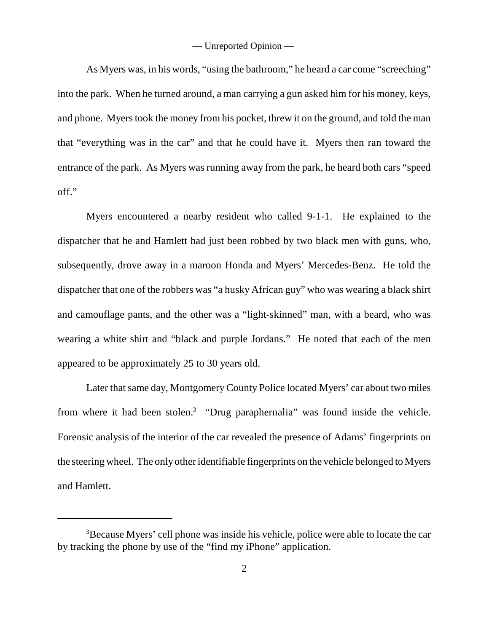As Myers was, in his words, "using the bathroom," he heard a car come "screeching" into the park. When he turned around, a man carrying a gun asked him for his money, keys, and phone. Myers took the money from his pocket, threw it on the ground, and told the man that "everything was in the car" and that he could have it. Myers then ran toward the entrance of the park. As Myers was running away from the park, he heard both cars "speed off."

Myers encountered a nearby resident who called 9-1-1. He explained to the dispatcher that he and Hamlett had just been robbed by two black men with guns, who, subsequently, drove away in a maroon Honda and Myers' Mercedes-Benz. He told the dispatcher that one of the robbers was "a husky African guy" who was wearing a black shirt and camouflage pants, and the other was a "light-skinned" man, with a beard, who was wearing a white shirt and "black and purple Jordans." He noted that each of the men appeared to be approximately 25 to 30 years old.

Later that same day, Montgomery County Police located Myers' car about two miles from where it had been stolen.<sup>3</sup> "Drug paraphernalia" was found inside the vehicle. Forensic analysis of the interior of the car revealed the presence of Adams' fingerprints on the steering wheel. The only other identifiable fingerprints on the vehicle belonged to Myers and Hamlett.

<sup>&</sup>lt;sup>3</sup>Because Myers' cell phone was inside his vehicle, police were able to locate the car by tracking the phone by use of the "find my iPhone" application.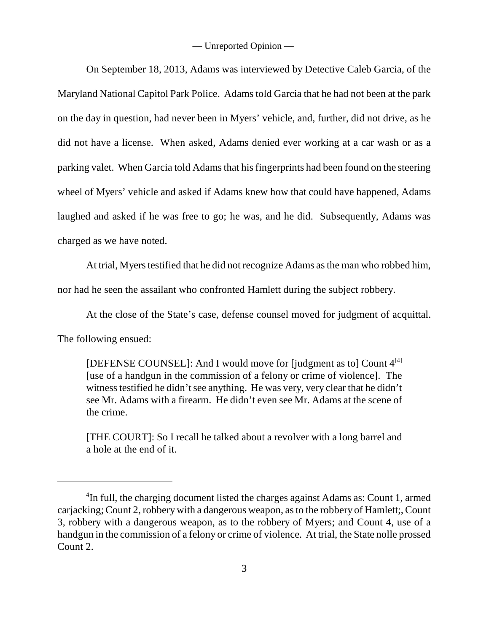On September 18, 2013, Adams was interviewed by Detective Caleb Garcia, of the Maryland National Capitol Park Police. Adams told Garcia that he had not been at the park on the day in question, had never been in Myers' vehicle, and, further, did not drive, as he did not have a license. When asked, Adams denied ever working at a car wash or as a parking valet. When Garcia told Adams that his fingerprints had been found on the steering wheel of Myers' vehicle and asked if Adams knew how that could have happened, Adams laughed and asked if he was free to go; he was, and he did. Subsequently, Adams was charged as we have noted.

At trial, Myers testified that he did not recognize Adams as the man who robbed him,

nor had he seen the assailant who confronted Hamlett during the subject robbery.

At the close of the State's case, defense counsel moved for judgment of acquittal.

The following ensued:

[DEFENSE COUNSEL]: And I would move for [judgment as to] Count  $4^{[4]}$ [use of a handgun in the commission of a felony or crime of violence]. The witness testified he didn't see anything. He was very, very clear that he didn't see Mr. Adams with a firearm. He didn't even see Mr. Adams at the scene of the crime.

[THE COURT]: So I recall he talked about a revolver with a long barrel and a hole at the end of it.

 $\rm{^{4}In}$  full, the charging document listed the charges against Adams as: Count 1, armed carjacking; Count 2, robbery with a dangerous weapon, as to the robbery of Hamlett;, Count 3, robbery with a dangerous weapon, as to the robbery of Myers; and Count 4, use of a handgun in the commission of a felony or crime of violence. At trial, the State nolle prossed Count 2.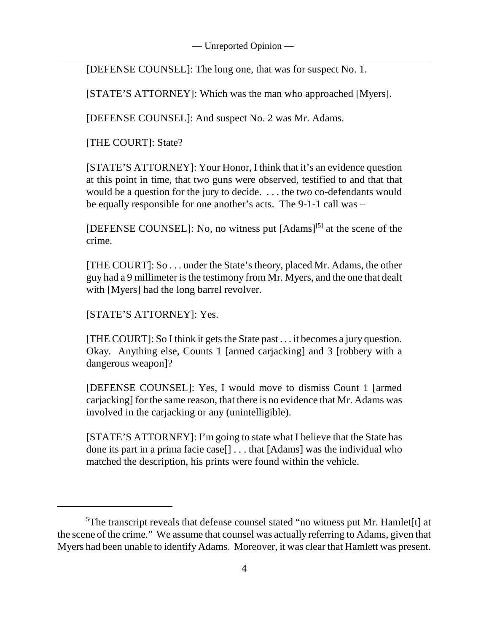[DEFENSE COUNSEL]: The long one, that was for suspect No. 1.

[STATE'S ATTORNEY]: Which was the man who approached [Myers].

[DEFENSE COUNSEL]: And suspect No. 2 was Mr. Adams.

[THE COURT]: State?

[STATE'S ATTORNEY]: Your Honor, I think that it's an evidence question at this point in time, that two guns were observed, testified to and that that would be a question for the jury to decide. . . . the two co-defendants would be equally responsible for one another's acts. The 9-1-1 call was –

[DEFENSE COUNSEL]: No, no witness put  $[Adams]^{[5]}$  at the scene of the crime.

[THE COURT]: So . . . under the State's theory, placed Mr. Adams, the other guy had a 9 millimeter is the testimony from Mr. Myers, and the one that dealt with [Myers] had the long barrel revolver.

[STATE'S ATTORNEY]: Yes.

[THE COURT]: So I think it gets the State past . . . it becomes a jury question. Okay. Anything else, Counts 1 [armed carjacking] and 3 [robbery with a dangerous weapon]?

[DEFENSE COUNSEL]: Yes, I would move to dismiss Count 1 [armed carjacking] for the same reason, that there is no evidence that Mr. Adams was involved in the carjacking or any (unintelligible).

[STATE'S ATTORNEY]: I'm going to state what I believe that the State has done its part in a prima facie case[] . . . that [Adams] was the individual who matched the description, his prints were found within the vehicle.

<sup>&</sup>lt;sup>5</sup>The transcript reveals that defense counsel stated "no witness put Mr. Hamlet<sup>[t]</sup> at the scene of the crime." We assume that counsel was actually referring to Adams, given that Myers had been unable to identify Adams. Moreover, it was clear that Hamlett was present.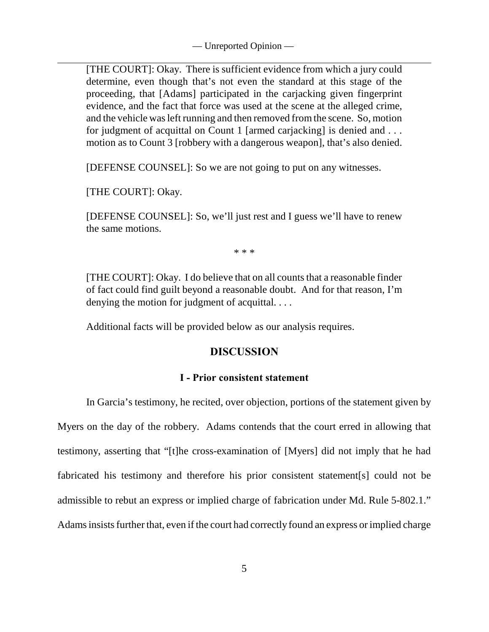[THE COURT]: Okay. There is sufficient evidence from which a jury could determine, even though that's not even the standard at this stage of the proceeding, that [Adams] participated in the carjacking given fingerprint evidence, and the fact that force was used at the scene at the alleged crime, and the vehicle was left running and then removed from the scene. So, motion for judgment of acquittal on Count 1 [armed carjacking] is denied and . . . motion as to Count 3 [robbery with a dangerous weapon], that's also denied.

[DEFENSE COUNSEL]: So we are not going to put on any witnesses.

[THE COURT]: Okay.

[DEFENSE COUNSEL]: So, we'll just rest and I guess we'll have to renew the same motions.

\* \* \*

[THE COURT]: Okay. I do believe that on all counts that a reasonable finder of fact could find guilt beyond a reasonable doubt. And for that reason, I'm denying the motion for judgment of acquittal. . . .

Additional facts will be provided below as our analysis requires.

# **DISCUSSION**

#### **I - Prior consistent statement**

In Garcia's testimony, he recited, over objection, portions of the statement given by Myers on the day of the robbery. Adams contends that the court erred in allowing that testimony, asserting that "[t]he cross-examination of [Myers] did not imply that he had fabricated his testimony and therefore his prior consistent statement[s] could not be admissible to rebut an express or implied charge of fabrication under Md. Rule 5-802.1." Adams insists further that, even if the court had correctly found an express or implied charge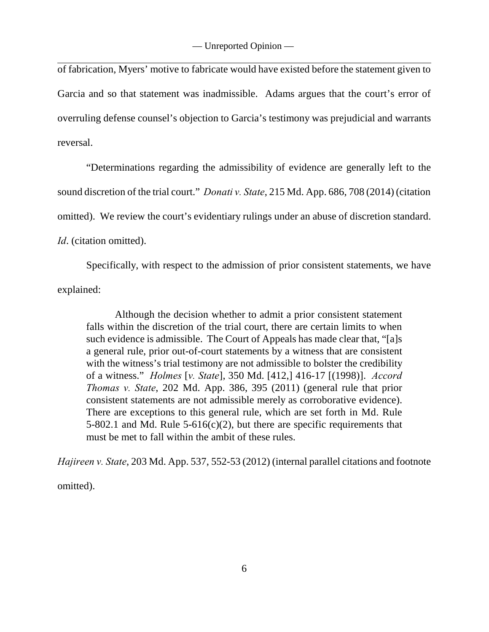of fabrication, Myers' motive to fabricate would have existed before the statement given to Garcia and so that statement was inadmissible. Adams argues that the court's error of overruling defense counsel's objection to Garcia's testimony was prejudicial and warrants reversal.

"Determinations regarding the admissibility of evidence are generally left to the sound discretion of the trial court." *Donati v. State*, 215 Md. App. 686, 708 (2014) (citation omitted). We review the court's evidentiary rulings under an abuse of discretion standard. *Id*. (citation omitted).

Specifically, with respect to the admission of prior consistent statements, we have explained:

Although the decision whether to admit a prior consistent statement falls within the discretion of the trial court, there are certain limits to when such evidence is admissible. The Court of Appeals has made clear that, "[a]s a general rule, prior out-of-court statements by a witness that are consistent with the witness's trial testimony are not admissible to bolster the credibility of a witness." *Holmes* [*v. State*], 350 Md. [412,] 416-17 [(1998)]. *Accord Thomas v. State*, 202 Md. App. 386, 395 (2011) (general rule that prior consistent statements are not admissible merely as corroborative evidence). There are exceptions to this general rule, which are set forth in Md. Rule 5-802.1 and Md. Rule 5-616(c)(2), but there are specific requirements that must be met to fall within the ambit of these rules.

*Hajireen v. State*, 203 Md. App. 537, 552-53 (2012) (internal parallel citations and footnote

omitted).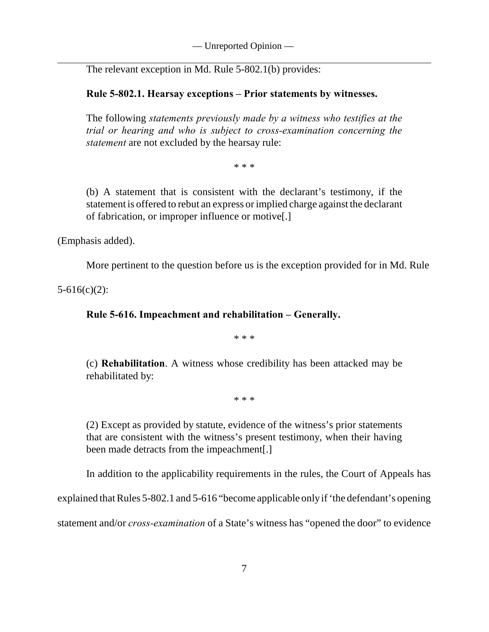The relevant exception in Md. Rule 5-802.1(b) provides:

# **Rule 5-802.1. Hearsay exceptions – Prior statements by witnesses.**

The following *statements previously made by a witness who testifies at the trial or hearing and who is subject to cross-examination concerning the statement* are not excluded by the hearsay rule:

\* \* \*

(b) A statement that is consistent with the declarant's testimony, if the statement is offered to rebut an express or implied charge against the declarant of fabrication, or improper influence or motive[.]

(Emphasis added).

More pertinent to the question before us is the exception provided for in Md. Rule

5-616(c)(2):

# **Rule 5-616. Impeachment and rehabilitation – Generally.**

\* \* \*

(c) **Rehabilitation**. A witness whose credibility has been attacked may be rehabilitated by:

\* \* \*

(2) Except as provided by statute, evidence of the witness's prior statements that are consistent with the witness's present testimony, when their having been made detracts from the impeachment[.]

In addition to the applicability requirements in the rules, the Court of Appeals has

explained that Rules 5-802.1 and 5-616 "become applicable only if 'the defendant's opening

statement and/or *cross-examination* of a State's witness has "opened the door" to evidence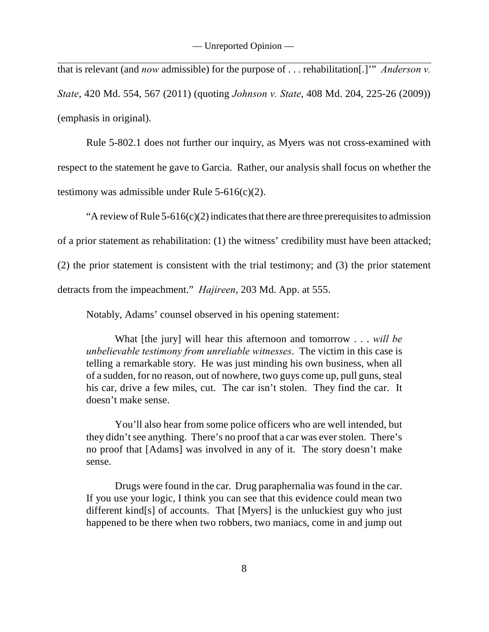that is relevant (and *now* admissible) for the purpose of . . . rehabilitation[.]'" *Anderson v. State*, 420 Md. 554, 567 (2011) (quoting *Johnson v. State*, 408 Md. 204, 225-26 (2009)) (emphasis in original).

Rule 5-802.1 does not further our inquiry, as Myers was not cross-examined with respect to the statement he gave to Garcia. Rather, our analysis shall focus on whether the testimony was admissible under Rule  $5-616(c)(2)$ .

"A review of Rule  $5-616(c)(2)$  indicates that there are three prerequisites to admission

of a prior statement as rehabilitation: (1) the witness' credibility must have been attacked;

(2) the prior statement is consistent with the trial testimony; and (3) the prior statement

detracts from the impeachment." *Hajireen*, 203 Md. App. at 555.

Notably, Adams' counsel observed in his opening statement:

What [the jury] will hear this afternoon and tomorrow . . . *will be unbelievable testimony from unreliable witnesses*. The victim in this case is telling a remarkable story. He was just minding his own business, when all of a sudden, for no reason, out of nowhere, two guys come up, pull guns, steal his car, drive a few miles, cut. The car isn't stolen. They find the car. It doesn't make sense.

You'll also hear from some police officers who are well intended, but they didn't see anything. There's no proof that a car was ever stolen. There's no proof that [Adams] was involved in any of it. The story doesn't make sense.

Drugs were found in the car. Drug paraphernalia was found in the car. If you use your logic, I think you can see that this evidence could mean two different kind[s] of accounts. That [Myers] is the unluckiest guy who just happened to be there when two robbers, two maniacs, come in and jump out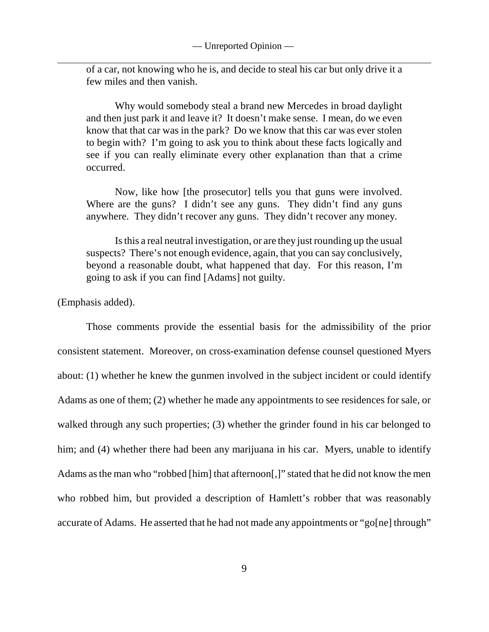of a car, not knowing who he is, and decide to steal his car but only drive it a few miles and then vanish.

Why would somebody steal a brand new Mercedes in broad daylight and then just park it and leave it? It doesn't make sense. I mean, do we even know that that car was in the park? Do we know that this car was ever stolen to begin with? I'm going to ask you to think about these facts logically and see if you can really eliminate every other explanation than that a crime occurred.

Now, like how [the prosecutor] tells you that guns were involved. Where are the guns? I didn't see any guns. They didn't find any guns anywhere. They didn't recover any guns. They didn't recover any money.

Is this a real neutral investigation, or are they just rounding up the usual suspects? There's not enough evidence, again, that you can say conclusively, beyond a reasonable doubt, what happened that day. For this reason, I'm going to ask if you can find [Adams] not guilty.

(Emphasis added).

Those comments provide the essential basis for the admissibility of the prior consistent statement. Moreover, on cross-examination defense counsel questioned Myers about: (1) whether he knew the gunmen involved in the subject incident or could identify Adams as one of them; (2) whether he made any appointments to see residences for sale, or walked through any such properties; (3) whether the grinder found in his car belonged to him; and (4) whether there had been any marijuana in his car. Myers, unable to identify Adams as the man who "robbed [him] that afternoon[,]" stated that he did not know the men who robbed him, but provided a description of Hamlett's robber that was reasonably accurate of Adams. He asserted that he had not made any appointments or "go[ne] through"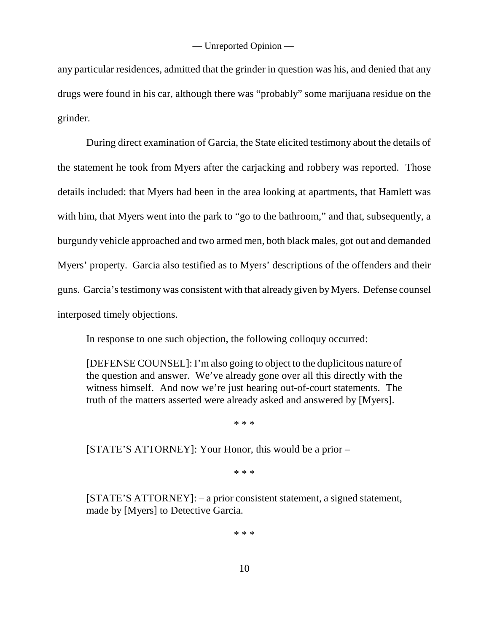any particular residences, admitted that the grinder in question was his, and denied that any drugs were found in his car, although there was "probably" some marijuana residue on the grinder.

During direct examination of Garcia, the State elicited testimony about the details of the statement he took from Myers after the carjacking and robbery was reported. Those details included: that Myers had been in the area looking at apartments, that Hamlett was with him, that Myers went into the park to "go to the bathroom," and that, subsequently, a burgundy vehicle approached and two armed men, both black males, got out and demanded Myers' property. Garcia also testified as to Myers' descriptions of the offenders and their guns. Garcia's testimony was consistent with that already given by Myers. Defense counsel interposed timely objections.

In response to one such objection, the following colloquy occurred:

[DEFENSE COUNSEL]: I'm also going to object to the duplicitous nature of the question and answer. We've already gone over all this directly with the witness himself. And now we're just hearing out-of-court statements. The truth of the matters asserted were already asked and answered by [Myers].

\* \* \*

[STATE'S ATTORNEY]: Your Honor, this would be a prior –

\* \* \*

[STATE'S ATTORNEY]: – a prior consistent statement, a signed statement, made by [Myers] to Detective Garcia.

\* \* \*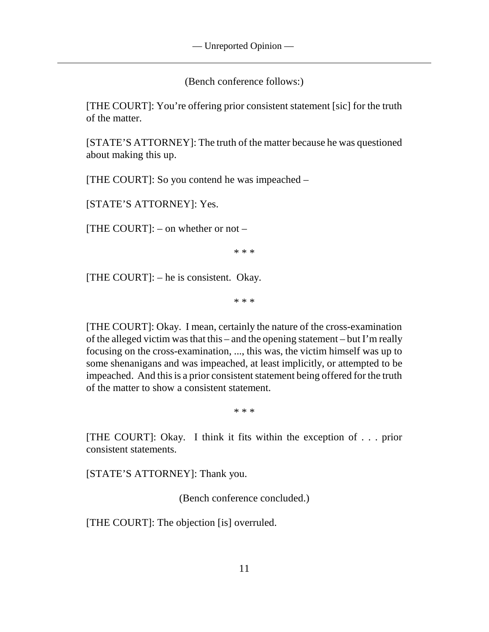(Bench conference follows:)

[THE COURT]: You're offering prior consistent statement [sic] for the truth of the matter.

[STATE'S ATTORNEY]: The truth of the matter because he was questioned about making this up.

[THE COURT]: So you contend he was impeached –

[STATE'S ATTORNEY]: Yes.

[THE COURT]:  $-$  on whether or not  $-$ 

\* \* \*

[THE COURT]: – he is consistent. Okay.

\* \* \*

[THE COURT]: Okay. I mean, certainly the nature of the cross-examination of the alleged victim was that this – and the opening statement – but I'm really focusing on the cross-examination, ..., this was, the victim himself was up to some shenanigans and was impeached, at least implicitly, or attempted to be impeached. And this is a prior consistent statement being offered for the truth of the matter to show a consistent statement.

\* \* \*

[THE COURT]: Okay. I think it fits within the exception of . . . prior consistent statements.

[STATE'S ATTORNEY]: Thank you.

(Bench conference concluded.)

[THE COURT]: The objection [is] overruled.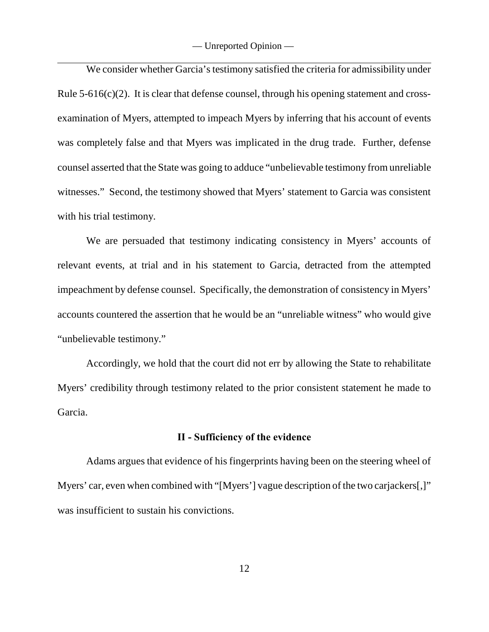We consider whether Garcia's testimony satisfied the criteria for admissibility under Rule  $5-616(c)(2)$ . It is clear that defense counsel, through his opening statement and crossexamination of Myers, attempted to impeach Myers by inferring that his account of events was completely false and that Myers was implicated in the drug trade. Further, defense counsel asserted that the State was going to adduce "unbelievable testimony from unreliable witnesses." Second, the testimony showed that Myers' statement to Garcia was consistent with his trial testimony.

We are persuaded that testimony indicating consistency in Myers' accounts of relevant events, at trial and in his statement to Garcia, detracted from the attempted impeachment by defense counsel. Specifically, the demonstration of consistency in Myers' accounts countered the assertion that he would be an "unreliable witness" who would give "unbelievable testimony."

Accordingly, we hold that the court did not err by allowing the State to rehabilitate Myers' credibility through testimony related to the prior consistent statement he made to Garcia.

#### **II - Sufficiency of the evidence**

Adams argues that evidence of his fingerprints having been on the steering wheel of Myers' car, even when combined with "[Myers'] vague description of the two carjackers[,]" was insufficient to sustain his convictions.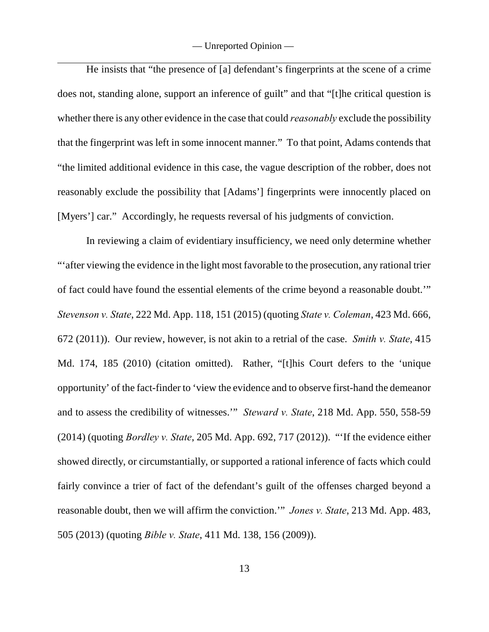He insists that "the presence of [a] defendant's fingerprints at the scene of a crime does not, standing alone, support an inference of guilt" and that "[t]he critical question is whether there is any other evidence in the case that could *reasonably* exclude the possibility that the fingerprint was left in some innocent manner." To that point, Adams contends that "the limited additional evidence in this case, the vague description of the robber, does not reasonably exclude the possibility that [Adams'] fingerprints were innocently placed on [Myers'] car." Accordingly, he requests reversal of his judgments of conviction.

In reviewing a claim of evidentiary insufficiency, we need only determine whether "'after viewing the evidence in the light most favorable to the prosecution, any rational trier of fact could have found the essential elements of the crime beyond a reasonable doubt.'" *Stevenson v. State*, 222 Md. App. 118, 151 (2015) (quoting *State v. Coleman*, 423 Md. 666, 672 (2011)). Our review, however, is not akin to a retrial of the case. *Smith v. State*, 415 Md. 174, 185 (2010) (citation omitted). Rather, "[t]his Court defers to the 'unique opportunity' of the fact-finder to 'view the evidence and to observe first-hand the demeanor and to assess the credibility of witnesses.'" *Steward v. State*, 218 Md. App. 550, 558-59 (2014) (quoting *Bordley v. State*, 205 Md. App. 692, 717 (2012)). "'If the evidence either showed directly, or circumstantially, or supported a rational inference of facts which could fairly convince a trier of fact of the defendant's guilt of the offenses charged beyond a reasonable doubt, then we will affirm the conviction.'" *Jones v. State*, 213 Md. App. 483, 505 (2013) (quoting *Bible v. State*, 411 Md. 138, 156 (2009)).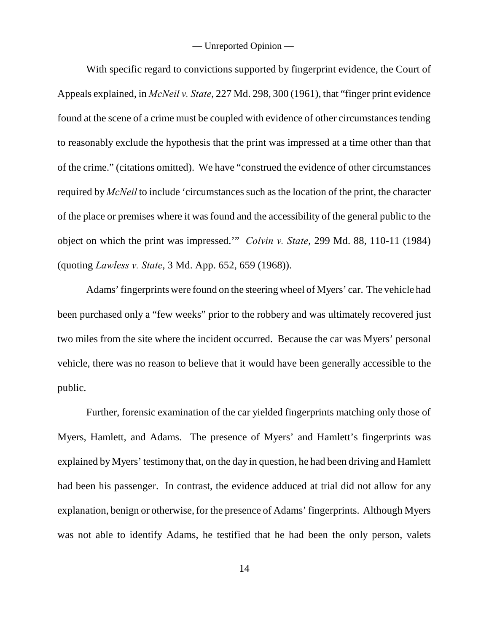With specific regard to convictions supported by fingerprint evidence, the Court of Appeals explained, in *McNeil v. State*, 227 Md. 298, 300 (1961), that "finger print evidence found at the scene of a crime must be coupled with evidence of other circumstances tending to reasonably exclude the hypothesis that the print was impressed at a time other than that of the crime." (citations omitted). We have "construed the evidence of other circumstances required by *McNeil* to include 'circumstances such as the location of the print, the character of the place or premises where it was found and the accessibility of the general public to the object on which the print was impressed.'" *Colvin v. State*, 299 Md. 88, 110-11 (1984) (quoting *Lawless v. State*, 3 Md. App. 652, 659 (1968)).

Adams' fingerprints were found on the steering wheel of Myers' car. The vehicle had been purchased only a "few weeks" prior to the robbery and was ultimately recovered just two miles from the site where the incident occurred. Because the car was Myers' personal vehicle, there was no reason to believe that it would have been generally accessible to the public.

Further, forensic examination of the car yielded fingerprints matching only those of Myers, Hamlett, and Adams. The presence of Myers' and Hamlett's fingerprints was explained by Myers' testimony that, on the day in question, he had been driving and Hamlett had been his passenger. In contrast, the evidence adduced at trial did not allow for any explanation, benign or otherwise, for the presence of Adams' fingerprints. Although Myers was not able to identify Adams, he testified that he had been the only person, valets